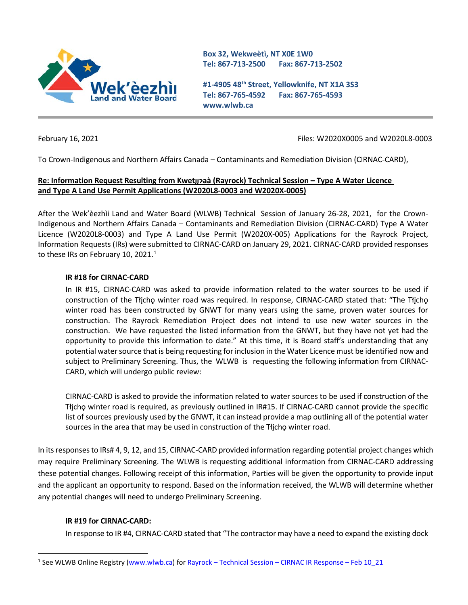

**Box 32, Wekweètì, NT X0E 1W0 Tel: 867-713-2500 Fax: 867-713-2502** 

**#1-4905 48th Street, Yellowknife, NT X1A 3S3 Tel: 867-765-4592 Fax: 867-765-4593 www.wlwb.ca**

February 16, 2021 Files: W2020X0005 and W2020L8-0003

To Crown-Indigenous and Northern Affairs Canada – Contaminants and Remediation Division (CIRNAC-CARD),

# **Re: Information Request Resulting from Kwetı̨ı̨ɂaà (Rayrock) Technical Session – Type A Water Licence and Type A Land Use Permit Applications (W2020L8-0003 and W2020X-0005)**

After the Wek'èezhìi Land and Water Board (WLWB) Technical Session of January 26-28, 2021, for the Crown-Indigenous and Northern Affairs Canada – Contaminants and Remediation Division (CIRNAC-CARD) Type A Water Licence (W2020L8-0003) and Type A Land Use Permit (W2020X-005) Applications for the Rayrock Project, Information Requests (IRs) were submitted to CIRNAC-CARD on January 29, 2021. CIRNAC-CARD provided responses to these IRs on February [1](#page-0-0)0, 2021. $<sup>1</sup>$ </sup>

## **IR #18 for CIRNAC-CARD**

In IR #15, CIRNAC-CARD was asked to provide information related to the water sources to be used if construction of the Tłjcho winter road was required. In response, CIRNAC-CARD stated that: "The Tłjcho winter road has been constructed by GNWT for many years using the same, proven water sources for construction. The Rayrock Remediation Project does not intend to use new water sources in the construction. We have requested the listed information from the GNWT, but they have not yet had the opportunity to provide this information to date." At this time, it is Board staff's understanding that any potential water source that is being requesting for inclusion in the Water Licence must be identified now and subject to Preliminary Screening. Thus, the WLWB is requesting the following information from CIRNAC-CARD, which will undergo public review:

CIRNAC-CARD is asked to provide the information related to water sources to be used if construction of the Tłįchǫ winter road is required, as previously outlined in IR#15. If CIRNAC-CARD cannot provide the specific list of sources previously used by the GNWT, it can instead provide a map outlining all of the potential water sources in the area that may be used in construction of the Tłicho winter road.

In its responses to IRs# 4, 9, 12, and 15, CIRNAC-CARD provided information regarding potential project changes which may require Preliminary Screening. The WLWB is requesting additional information from CIRNAC-CARD addressing these potential changes. Following receipt of this information, Parties will be given the opportunity to provide input and the applicant an opportunity to respond. Based on the information received, the WLWB will determine whether any potential changes will need to undergo Preliminary Screening.

### **IR #19 for CIRNAC-CARD:**

In response to IR #4, CIRNAC-CARD stated that "The contractor may have a need to expand the existing dock

<span id="page-0-0"></span><sup>&</sup>lt;sup>1</sup> See WLWB Online Registry [\(www.wlwb.ca\)](http://www.wlwb.ca/) for Rayrock – Technical Session – [CIRNAC IR Response –](http://registry.mvlwb.ca/Documents/W2020L8-0003/Rayrock%20-%20Technical%20Session%20-%20CIRNAC%20IR%20Response%20-%20Feb%2010_21.pdf) Feb 10\_21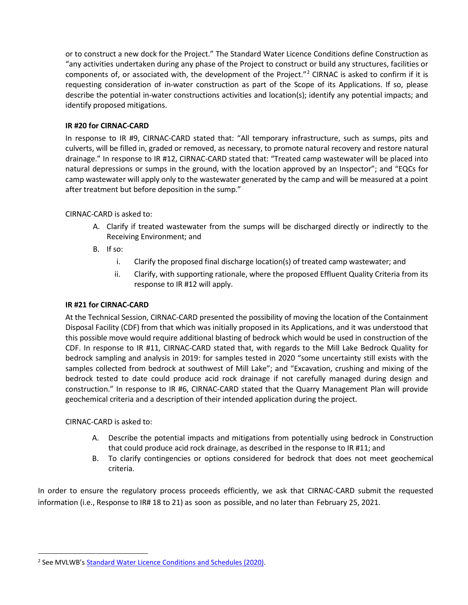or to construct a new dock for the Project." The Standard Water Licence Conditions define Construction as "any activities undertaken during any phase of the Project to construct or build any structures, facilities or components of, or associated with, the development of the Project."[2](#page-1-0) CIRNAC is asked to confirm if it is requesting consideration of in-water construction as part of the Scope of its Applications. If so, please describe the potential in-water constructions activities and location(s); identify any potential impacts; and identify proposed mitigations.

# **IR #20 for CIRNAC-CARD**

In response to IR #9, CIRNAC-CARD stated that: "All temporary infrastructure, such as sumps, pits and culverts, will be filled in, graded or removed, as necessary, to promote natural recovery and restore natural drainage." In response to IR #12, CIRNAC-CARD stated that: "Treated camp wastewater will be placed into natural depressions or sumps in the ground, with the location approved by an Inspector"; and "EQCs for camp wastewater will apply only to the wastewater generated by the camp and will be measured at a point after treatment but before deposition in the sump."

## CIRNAC-CARD is asked to:

- A. Clarify if treated wastewater from the sumps will be discharged directly or indirectly to the Receiving Environment; and
- B. If so:
	- i. Clarify the proposed final discharge location(s) of treated camp wastewater; and
	- ii. Clarify, with supporting rationale, where the proposed Effluent Quality Criteria from its response to IR #12 will apply.

#### **IR #21 for CIRNAC-CARD**

At the Technical Session, CIRNAC-CARD presented the possibility of moving the location of the Containment Disposal Facility (CDF) from that which was initially proposed in its Applications, and it was understood that this possible move would require additional blasting of bedrock which would be used in construction of the CDF. In response to IR #11, CIRNAC-CARD stated that, with regards to the Mill Lake Bedrock Quality for bedrock sampling and analysis in 2019: for samples tested in 2020 "some uncertainty still exists with the samples collected from bedrock at southwest of Mill Lake"; and "Excavation, crushing and mixing of the bedrock tested to date could produce acid rock drainage if not carefully managed during design and construction." In response to IR #6, CIRNAC-CARD stated that the Quarry Management Plan will provide geochemical criteria and a description of their intended application during the project.

#### CIRNAC-CARD is asked to:

- A. Describe the potential impacts and mitigations from potentially using bedrock in Construction that could produce acid rock drainage, as described in the response to IR #11; and
- B. To clarify contingencies or options considered for bedrock that does not meet geochemical criteria.

In order to ensure the regulatory process proceeds efficiently, we ask that CIRNAC-CARD submit the requested information (i.e., Response to IR# 18 to 21) as soon as possible, and no later than February 25, 2021.

<span id="page-1-0"></span><sup>&</sup>lt;sup>2</sup> See MVLWB'[s Standard Water Licence Conditions and Schedules \(2020\).](https://mvlwb.com/sites/default/files/standard_water_licence_conditions_and_schedules_-_basic_-_apr_20_20.pdf)